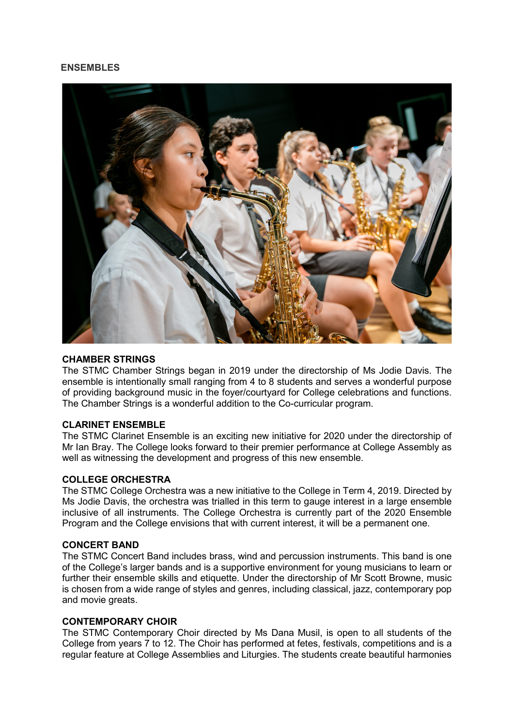# **ENSEMBLES**



## **CHAMBER STRINGS**

The STMC Chamber Strings began in 2019 under the directorship of Ms Jodie Davis. The ensemble is intentionally small ranging from 4 to 8 students and serves a wonderful purpose of providing background music in the foyer/courtyard for College celebrations and functions. The Chamber Strings is a wonderful addition to the Co-curricular program.

## **CLARINET ENSEMBLE**

The STMC Clarinet Ensemble is an exciting new initiative for 2020 under the directorship of Mr Ian Bray. The College looks forward to their premier performance at College Assembly as well as witnessing the development and progress of this new ensemble.

## **COLLEGE ORCHESTRA**

The STMC College Orchestra was a new initiative to the College in Term 4, 2019. Directed by Ms Jodie Davis, the orchestra was trialled in this term to gauge interest in a large ensemble inclusive of all instruments. The College Orchestra is currently part of the 2020 Ensemble Program and the College envisions that with current interest, it will be a permanent one.

## **CONCERT BAND**

The STMC Concert Band includes brass, wind and percussion instruments. This band is one of the College's larger bands and is a supportive environment for young musicians to learn or further their ensemble skills and etiquette. Under the directorship of Mr Scott Browne, music is chosen from a wide range of styles and genres, including classical, jazz, contemporary pop and movie greats.

## **CONTEMPORARY CHOIR**

The STMC Contemporary Choir directed by Ms Dana Musil, is open to all students of the College from years 7 to 12. The Choir has performed at fetes, festivals, competitions and is a regular feature at College Assemblies and Liturgies. The students create beautiful harmonies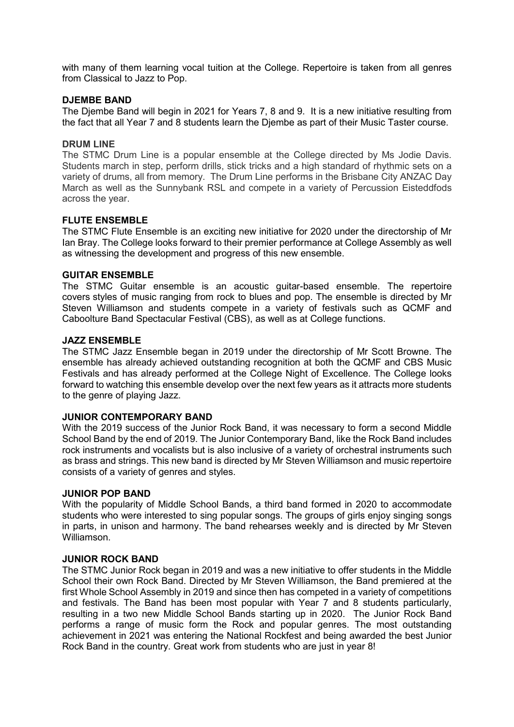with many of them learning vocal tuition at the College. Repertoire is taken from all genres from Classical to Jazz to Pop.

## **DJEMBE BAND**

The Djembe Band will begin in 2021 for Years 7, 8 and 9. It is a new initiative resulting from the fact that all Year 7 and 8 students learn the Djembe as part of their Music Taster course.

### **DRUM LINE**

The STMC Drum Line is a popular ensemble at the College directed by Ms Jodie Davis. Students march in step, perform drills, stick tricks and a high standard of rhythmic sets on a variety of drums, all from memory. The Drum Line performs in the Brisbane City ANZAC Day March as well as the Sunnybank RSL and compete in a variety of Percussion Eisteddfods across the year.

## **FLUTE ENSEMBLE**

The STMC Flute Ensemble is an exciting new initiative for 2020 under the directorship of Mr Ian Bray. The College looks forward to their premier performance at College Assembly as well as witnessing the development and progress of this new ensemble.

### **GUITAR ENSEMBLE**

The STMC Guitar ensemble is an acoustic guitar-based ensemble. The repertoire covers styles of music ranging from rock to blues and pop. The ensemble is directed by Mr Steven Williamson and students compete in a variety of festivals such as QCMF and Caboolture Band Spectacular Festival (CBS), as well as at College functions.

### **JAZZ ENSEMBLE**

The STMC Jazz Ensemble began in 2019 under the directorship of Mr Scott Browne. The ensemble has already achieved outstanding recognition at both the QCMF and CBS Music Festivals and has already performed at the College Night of Excellence. The College looks forward to watching this ensemble develop over the next few years as it attracts more students to the genre of playing Jazz.

## **JUNIOR CONTEMPORARY BAND**

With the 2019 success of the Junior Rock Band, it was necessary to form a second Middle School Band by the end of 2019. The Junior Contemporary Band, like the Rock Band includes rock instruments and vocalists but is also inclusive of a variety of orchestral instruments such as brass and strings. This new band is directed by Mr Steven Williamson and music repertoire consists of a variety of genres and styles.

### **JUNIOR POP BAND**

With the popularity of Middle School Bands, a third band formed in 2020 to accommodate students who were interested to sing popular songs. The groups of girls enjoy singing songs in parts, in unison and harmony. The band rehearses weekly and is directed by Mr Steven Williamson.

#### **JUNIOR ROCK BAND**

The STMC Junior Rock began in 2019 and was a new initiative to offer students in the Middle School their own Rock Band. Directed by Mr Steven Williamson, the Band premiered at the first Whole School Assembly in 2019 and since then has competed in a variety of competitions and festivals. The Band has been most popular with Year 7 and 8 students particularly, resulting in a two new Middle School Bands starting up in 2020. The Junior Rock Band performs a range of music form the Rock and popular genres. The most outstanding achievement in 2021 was entering the National Rockfest and being awarded the best Junior Rock Band in the country. Great work from students who are just in year 8!